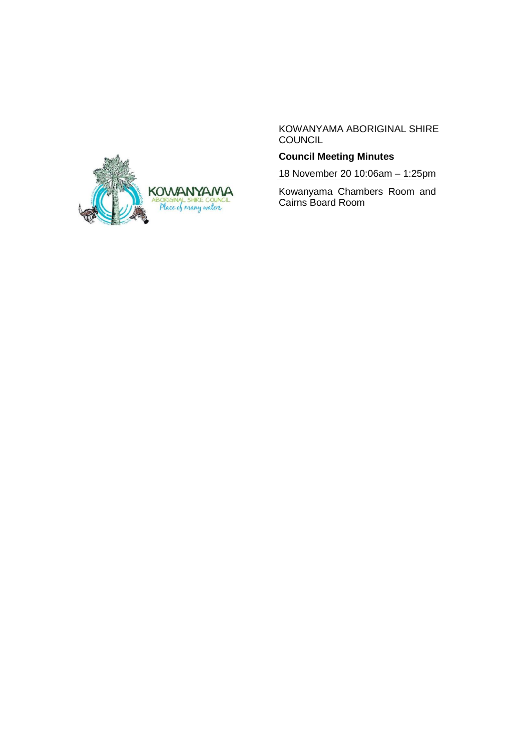

KOWANYAMA ABORIGINAL SHIRE COUNCIL

# **Council Meeting Minutes**

18 November 20 10:06am – 1:25pm

Kowanyama Chambers Room and Cairns Board Room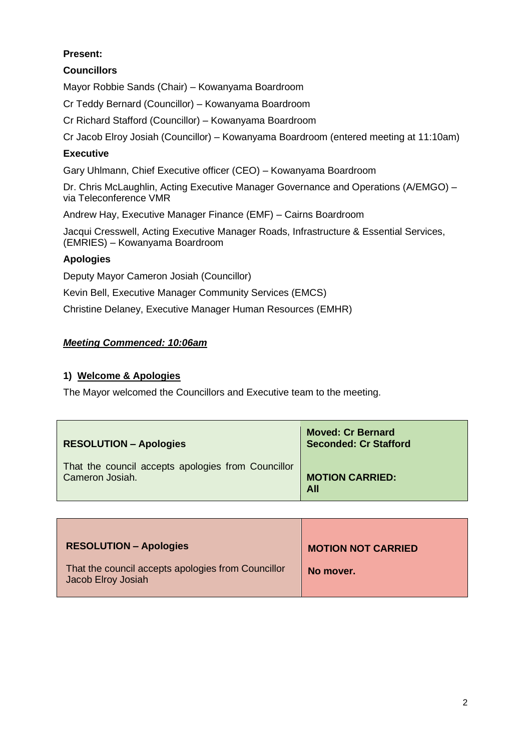# **Present:**

# **Councillors**

Mayor Robbie Sands (Chair) – Kowanyama Boardroom

Cr Teddy Bernard (Councillor) – Kowanyama Boardroom

Cr Richard Stafford (Councillor) – Kowanyama Boardroom

Cr Jacob Elroy Josiah (Councillor) – Kowanyama Boardroom (entered meeting at 11:10am)

# **Executive**

Gary Uhlmann, Chief Executive officer (CEO) – Kowanyama Boardroom

Dr. Chris McLaughlin, Acting Executive Manager Governance and Operations (A/EMGO) – via Teleconference VMR

Andrew Hay, Executive Manager Finance (EMF) – Cairns Boardroom

Jacqui Cresswell, Acting Executive Manager Roads, Infrastructure & Essential Services, (EMRIES) – Kowanyama Boardroom

# **Apologies**

Deputy Mayor Cameron Josiah (Councillor)

Kevin Bell, Executive Manager Community Services (EMCS)

Christine Delaney, Executive Manager Human Resources (EMHR)

# *Meeting Commenced: 10:06am*

# **1) Welcome & Apologies**

The Mayor welcomed the Councillors and Executive team to the meeting.

| <b>RESOLUTION - Apologies</b>                      | <b>Moved: Cr Bernard</b><br><b>Seconded: Cr Stafford</b> |
|----------------------------------------------------|----------------------------------------------------------|
| That the council accepts apologies from Councillor | <b>MOTION CARRIED:</b>                                   |
| Cameron Josiah.                                    | All                                                      |

| <b>RESOLUTION - Apologies</b>                                            | <b>MOTION NOT CARRIED</b> |
|--------------------------------------------------------------------------|---------------------------|
| That the council accepts apologies from Councillor<br>Jacob Elroy Josiah | No mover.                 |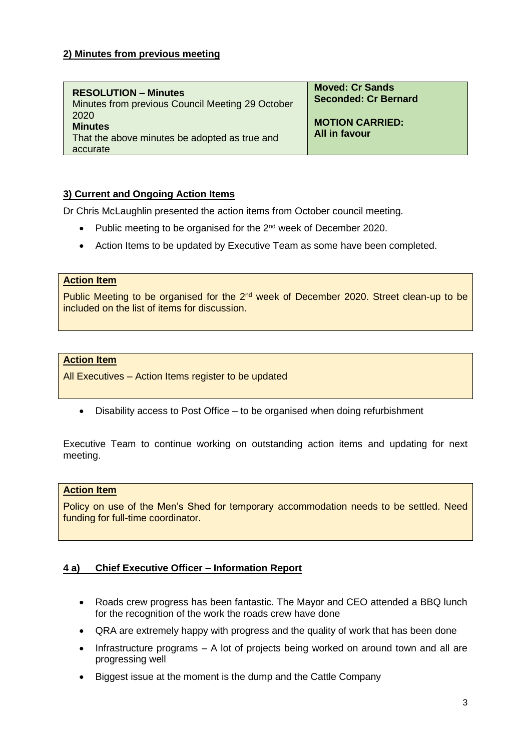### **2) Minutes from previous meeting**

| <b>RESOLUTION – Minutes</b>                                                         | <b>Moved: Cr Sands</b>                  |
|-------------------------------------------------------------------------------------|-----------------------------------------|
| Minutes from previous Council Meeting 29 October                                    | <b>Seconded: Cr Bernard</b>             |
| 2020<br><b>Minutes</b><br>That the above minutes be adopted as true and<br>accurate | <b>MOTION CARRIED:</b><br>All in favour |

### **3) Current and Ongoing Action Items**

Dr Chris McLaughlin presented the action items from October council meeting.

- Public meeting to be organised for the 2<sup>nd</sup> week of December 2020.
- Action Items to be updated by Executive Team as some have been completed.

#### **Action Item**

Public Meeting to be organised for the  $2<sup>nd</sup>$  week of December 2020. Street clean-up to be included on the list of items for discussion.

### **Action Item**

All Executives – Action Items register to be updated

• Disability access to Post Office – to be organised when doing refurbishment

Executive Team to continue working on outstanding action items and updating for next meeting.

### **Action Item**

Policy on use of the Men's Shed for temporary accommodation needs to be settled. Need funding for full-time coordinator.

### **4 a) Chief Executive Officer – Information Report**

- Roads crew progress has been fantastic. The Mayor and CEO attended a BBQ lunch for the recognition of the work the roads crew have done
- QRA are extremely happy with progress and the quality of work that has been done
- Infrastructure programs A lot of projects being worked on around town and all are progressing well
- Biggest issue at the moment is the dump and the Cattle Company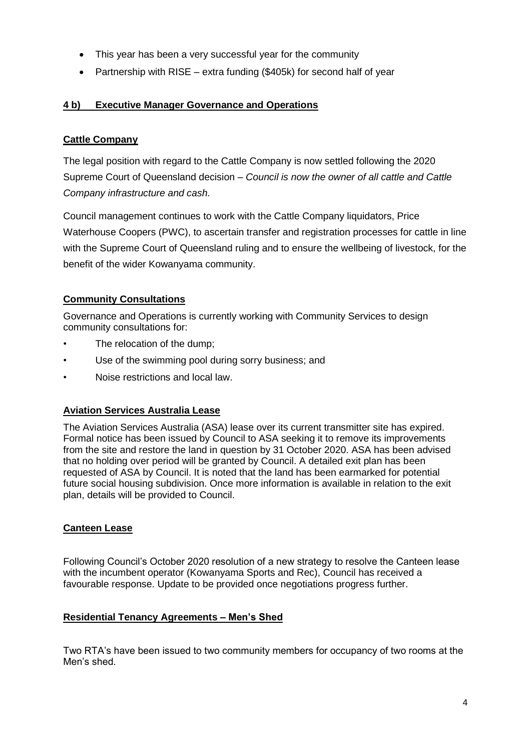- This year has been a very successful year for the community
- Partnership with RISE extra funding (\$405k) for second half of year

# **4 b) Executive Manager Governance and Operations**

# **Cattle Company**

The legal position with regard to the Cattle Company is now settled following the 2020 Supreme Court of Queensland decision – *Council is now the owner of all cattle and Cattle Company infrastructure and cash.*

Council management continues to work with the Cattle Company liquidators, Price Waterhouse Coopers (PWC), to ascertain transfer and registration processes for cattle in line with the Supreme Court of Queensland ruling and to ensure the wellbeing of livestock, for the benefit of the wider Kowanyama community.

# **Community Consultations**

Governance and Operations is currently working with Community Services to design community consultations for:

- The relocation of the dump;
- Use of the swimming pool during sorry business; and
- Noise restrictions and local law.

# **Aviation Services Australia Lease**

The Aviation Services Australia (ASA) lease over its current transmitter site has expired. Formal notice has been issued by Council to ASA seeking it to remove its improvements from the site and restore the land in question by 31 October 2020. ASA has been advised that no holding over period will be granted by Council. A detailed exit plan has been requested of ASA by Council. It is noted that the land has been earmarked for potential future social housing subdivision. Once more information is available in relation to the exit plan, details will be provided to Council.

# **Canteen Lease**

Following Council's October 2020 resolution of a new strategy to resolve the Canteen lease with the incumbent operator (Kowanyama Sports and Rec), Council has received a favourable response. Update to be provided once negotiations progress further.

# **Residential Tenancy Agreements – Men's Shed**

Two RTA's have been issued to two community members for occupancy of two rooms at the Men's shed.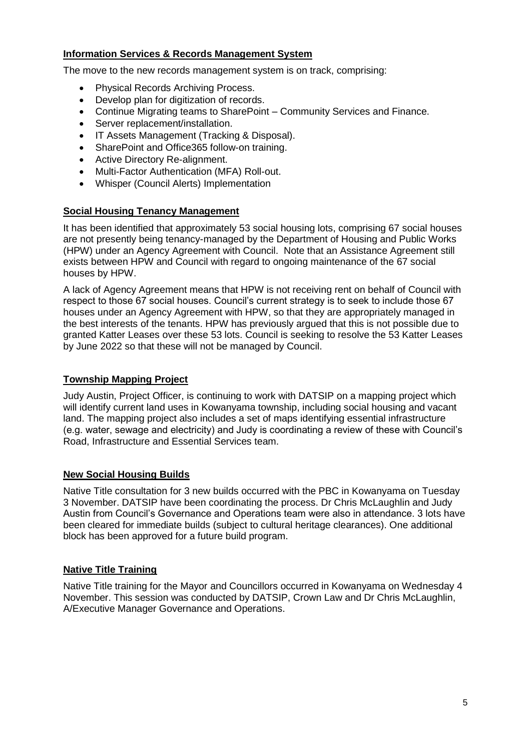# **Information Services & Records Management System**

The move to the new records management system is on track, comprising:

- Physical Records Archiving Process.
- Develop plan for digitization of records.
- Continue Migrating teams to SharePoint Community Services and Finance.
- Server replacement/installation.
- IT Assets Management (Tracking & Disposal).
- SharePoint and Office365 follow-on training.
- Active Directory Re-alignment.
- Multi-Factor Authentication (MFA) Roll-out.
- Whisper (Council Alerts) Implementation

### **Social Housing Tenancy Management**

It has been identified that approximately 53 social housing lots, comprising 67 social houses are not presently being tenancy-managed by the Department of Housing and Public Works (HPW) under an Agency Agreement with Council. Note that an Assistance Agreement still exists between HPW and Council with regard to ongoing maintenance of the 67 social houses by HPW.

A lack of Agency Agreement means that HPW is not receiving rent on behalf of Council with respect to those 67 social houses. Council's current strategy is to seek to include those 67 houses under an Agency Agreement with HPW, so that they are appropriately managed in the best interests of the tenants. HPW has previously argued that this is not possible due to granted Katter Leases over these 53 lots. Council is seeking to resolve the 53 Katter Leases by June 2022 so that these will not be managed by Council.

### **Township Mapping Project**

Judy Austin, Project Officer, is continuing to work with DATSIP on a mapping project which will identify current land uses in Kowanyama township, including social housing and vacant land. The mapping project also includes a set of maps identifying essential infrastructure (e.g. water, sewage and electricity) and Judy is coordinating a review of these with Council's Road, Infrastructure and Essential Services team.

### **New Social Housing Builds**

Native Title consultation for 3 new builds occurred with the PBC in Kowanyama on Tuesday 3 November. DATSIP have been coordinating the process. Dr Chris McLaughlin and Judy Austin from Council's Governance and Operations team were also in attendance. 3 lots have been cleared for immediate builds (subject to cultural heritage clearances). One additional block has been approved for a future build program.

### **Native Title Training**

Native Title training for the Mayor and Councillors occurred in Kowanyama on Wednesday 4 November. This session was conducted by DATSIP, Crown Law and Dr Chris McLaughlin, A/Executive Manager Governance and Operations.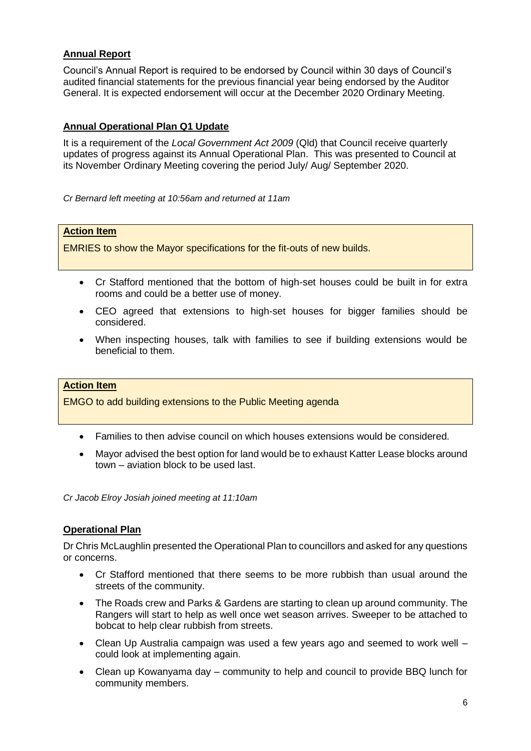# **Annual Report**

Council's Annual Report is required to be endorsed by Council within 30 days of Council's audited financial statements for the previous financial year being endorsed by the Auditor General. It is expected endorsement will occur at the December 2020 Ordinary Meeting.

### **Annual Operational Plan Q1 Update**

It is a requirement of the *Local Government Act 2009* (Qld) that Council receive quarterly updates of progress against its Annual Operational Plan. This was presented to Council at its November Ordinary Meeting covering the period July/ Aug/ September 2020.

*Cr Bernard left meeting at 10:56am and returned at 11am*

### **Action Item**

EMRIES to show the Mayor specifications for the fit-outs of new builds.

- Cr Stafford mentioned that the bottom of high-set houses could be built in for extra rooms and could be a better use of money.
- CEO agreed that extensions to high-set houses for bigger families should be considered.
- When inspecting houses, talk with families to see if building extensions would be beneficial to them.

### **Action Item**

EMGO to add building extensions to the Public Meeting agenda

- Families to then advise council on which houses extensions would be considered.
- Mayor advised the best option for land would be to exhaust Katter Lease blocks around town – aviation block to be used last.

*Cr Jacob Elroy Josiah joined meeting at 11:10am*

### **Operational Plan**

Dr Chris McLaughlin presented the Operational Plan to councillors and asked for any questions or concerns.

- Cr Stafford mentioned that there seems to be more rubbish than usual around the streets of the community.
- The Roads crew and Parks & Gardens are starting to clean up around community. The Rangers will start to help as well once wet season arrives. Sweeper to be attached to bobcat to help clear rubbish from streets.
- Clean Up Australia campaign was used a few years ago and seemed to work well could look at implementing again.
- Clean up Kowanyama day community to help and council to provide BBQ lunch for community members.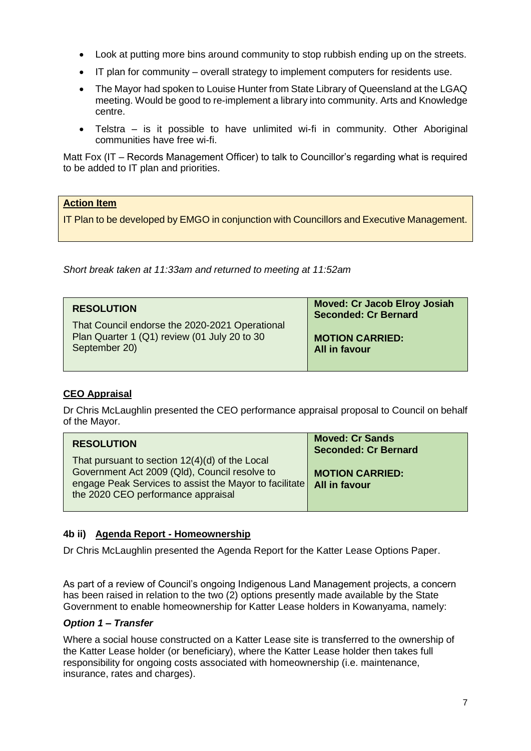- Look at putting more bins around community to stop rubbish ending up on the streets.
- IT plan for community overall strategy to implement computers for residents use.
- The Mayor had spoken to Louise Hunter from State Library of Queensland at the LGAQ meeting. Would be good to re-implement a library into community. Arts and Knowledge centre.
- Telstra is it possible to have unlimited wi-fi in community. Other Aboriginal communities have free wi-fi.

Matt Fox (IT – Records Management Officer) to talk to Councillor's regarding what is required to be added to IT plan and priorities.

### **Action Item**

IT Plan to be developed by EMGO in conjunction with Councillors and Executive Management.

*Short break taken at 11:33am and returned to meeting at 11:52am*

| <b>RESOLUTION</b>                                                                                               | <b>Moved: Cr Jacob Elroy Josiah</b><br><b>Seconded: Cr Bernard</b> |
|-----------------------------------------------------------------------------------------------------------------|--------------------------------------------------------------------|
| That Council endorse the 2020-2021 Operational<br>Plan Quarter 1 (Q1) review (01 July 20 to 30<br>September 20) | <b>MOTION CARRIED:</b><br>All in favour                            |

# **CEO Appraisal**

Dr Chris McLaughlin presented the CEO performance appraisal proposal to Council on behalf of the Mayor.

| <b>RESOLUTION</b>                                                                                                                                                                               | <b>Moved: Cr Sands</b><br><b>Seconded: Cr Bernard</b> |
|-------------------------------------------------------------------------------------------------------------------------------------------------------------------------------------------------|-------------------------------------------------------|
| That pursuant to section 12(4)(d) of the Local<br>Government Act 2009 (Qld), Council resolve to<br>engage Peak Services to assist the Mayor to facilitate<br>the 2020 CEO performance appraisal | <b>MOTION CARRIED:</b><br>All in favour               |

# **4b ii) Agenda Report - Homeownership**

Dr Chris McLaughlin presented the Agenda Report for the Katter Lease Options Paper.

As part of a review of Council's ongoing Indigenous Land Management projects, a concern has been raised in relation to the two (2) options presently made available by the State Government to enable homeownership for Katter Lease holders in Kowanyama, namely:

### *Option 1 – Transfer*

Where a social house constructed on a Katter Lease site is transferred to the ownership of the Katter Lease holder (or beneficiary), where the Katter Lease holder then takes full responsibility for ongoing costs associated with homeownership (i.e. maintenance, insurance, rates and charges).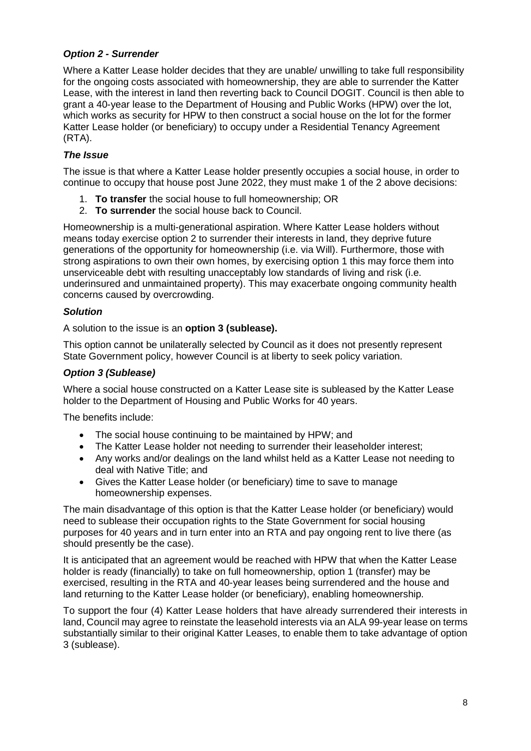# *Option 2 - Surrender*

Where a Katter Lease holder decides that they are unable/ unwilling to take full responsibility for the ongoing costs associated with homeownership, they are able to surrender the Katter Lease, with the interest in land then reverting back to Council DOGIT. Council is then able to grant a 40-year lease to the Department of Housing and Public Works (HPW) over the lot, which works as security for HPW to then construct a social house on the lot for the former Katter Lease holder (or beneficiary) to occupy under a Residential Tenancy Agreement (RTA).

### *The Issue*

The issue is that where a Katter Lease holder presently occupies a social house, in order to continue to occupy that house post June 2022, they must make 1 of the 2 above decisions:

- 1. **To transfer** the social house to full homeownership; OR
- 2. **To surrender** the social house back to Council.

Homeownership is a multi-generational aspiration. Where Katter Lease holders without means today exercise option 2 to surrender their interests in land, they deprive future generations of the opportunity for homeownership (i.e. via Will). Furthermore, those with strong aspirations to own their own homes, by exercising option 1 this may force them into unserviceable debt with resulting unacceptably low standards of living and risk (i.e. underinsured and unmaintained property). This may exacerbate ongoing community health concerns caused by overcrowding.

### *Solution*

A solution to the issue is an **option 3 (sublease).**

This option cannot be unilaterally selected by Council as it does not presently represent State Government policy, however Council is at liberty to seek policy variation.

### *Option 3 (Sublease)*

Where a social house constructed on a Katter Lease site is subleased by the Katter Lease holder to the Department of Housing and Public Works for 40 years.

The benefits include:

- The social house continuing to be maintained by HPW; and
- The Katter Lease holder not needing to surrender their leaseholder interest;
- Any works and/or dealings on the land whilst held as a Katter Lease not needing to deal with Native Title; and
- Gives the Katter Lease holder (or beneficiary) time to save to manage homeownership expenses.

The main disadvantage of this option is that the Katter Lease holder (or beneficiary) would need to sublease their occupation rights to the State Government for social housing purposes for 40 years and in turn enter into an RTA and pay ongoing rent to live there (as should presently be the case).

It is anticipated that an agreement would be reached with HPW that when the Katter Lease holder is ready (financially) to take on full homeownership, option 1 (transfer) may be exercised, resulting in the RTA and 40-year leases being surrendered and the house and land returning to the Katter Lease holder (or beneficiary), enabling homeownership.

To support the four (4) Katter Lease holders that have already surrendered their interests in land, Council may agree to reinstate the leasehold interests via an ALA 99-year lease on terms substantially similar to their original Katter Leases, to enable them to take advantage of option 3 (sublease).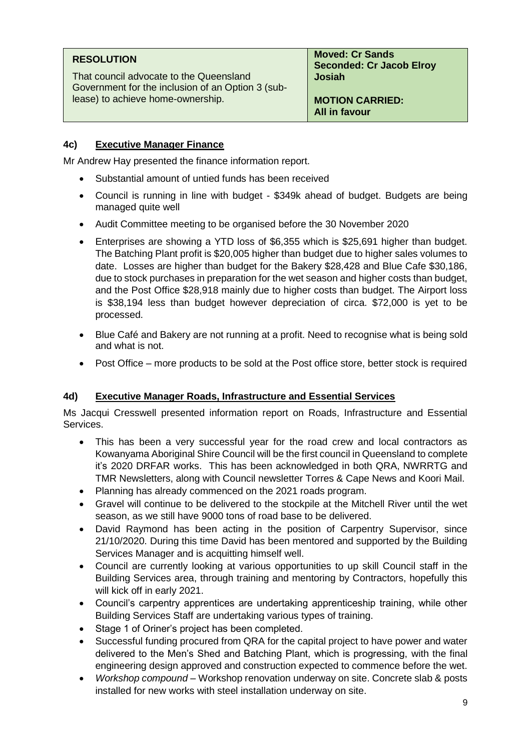| <b>RESOLUTION</b>                                 | <b>Moved: Cr Sands</b>                         |
|---------------------------------------------------|------------------------------------------------|
| That council advocate to the Queensland           | <b>Seconded: Cr Jacob Elroy</b>                |
| Government for the inclusion of an Option 3 (sub- | <b>Josiah</b>                                  |
| lease) to achieve home-ownership.                 | <b>MOTION CARRIED:</b><br><b>All in favour</b> |

# **4c) Executive Manager Finance**

Mr Andrew Hay presented the finance information report.

- Substantial amount of untied funds has been received
- Council is running in line with budget \$349k ahead of budget. Budgets are being managed quite well
- Audit Committee meeting to be organised before the 30 November 2020
- Enterprises are showing a YTD loss of \$6,355 which is \$25,691 higher than budget. The Batching Plant profit is \$20,005 higher than budget due to higher sales volumes to date. Losses are higher than budget for the Bakery \$28,428 and Blue Cafe \$30,186, due to stock purchases in preparation for the wet season and higher costs than budget, and the Post Office \$28,918 mainly due to higher costs than budget. The Airport loss is \$38,194 less than budget however depreciation of circa. \$72,000 is yet to be processed.
- Blue Café and Bakery are not running at a profit. Need to recognise what is being sold and what is not.
- Post Office more products to be sold at the Post office store, better stock is required

# **4d) Executive Manager Roads, Infrastructure and Essential Services**

Ms Jacqui Cresswell presented information report on Roads, Infrastructure and Essential Services.

- This has been a very successful year for the road crew and local contractors as Kowanyama Aboriginal Shire Council will be the first council in Queensland to complete it's 2020 DRFAR works. This has been acknowledged in both QRA, NWRRTG and TMR Newsletters, along with Council newsletter Torres & Cape News and Koori Mail.
- Planning has already commenced on the 2021 roads program.
- Gravel will continue to be delivered to the stockpile at the Mitchell River until the wet season, as we still have 9000 tons of road base to be delivered.
- David Raymond has been acting in the position of Carpentry Supervisor, since 21/10/2020. During this time David has been mentored and supported by the Building Services Manager and is acquitting himself well.
- Council are currently looking at various opportunities to up skill Council staff in the Building Services area, through training and mentoring by Contractors, hopefully this will kick off in early 2021.
- Council's carpentry apprentices are undertaking apprenticeship training, while other Building Services Staff are undertaking various types of training.
- Stage 1 of Oriner's project has been completed.
- Successful funding procured from QRA for the capital project to have power and water delivered to the Men's Shed and Batching Plant, which is progressing, with the final engineering design approved and construction expected to commence before the wet.
- *Workshop compound* Workshop renovation underway on site. Concrete slab & posts installed for new works with steel installation underway on site.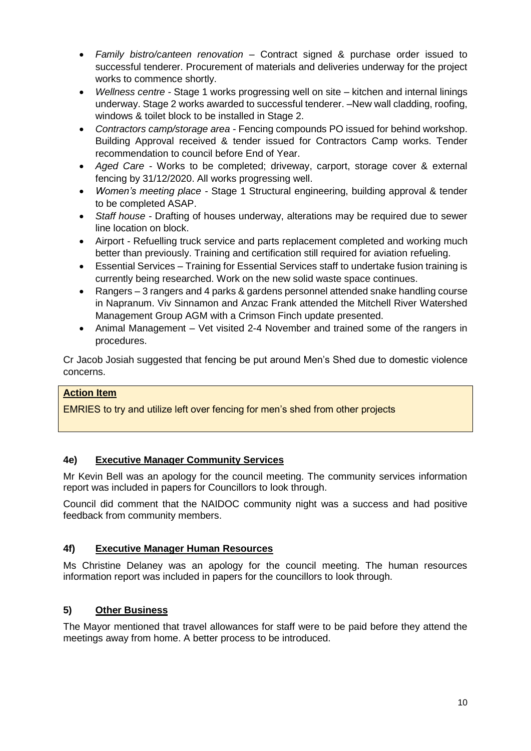- *Family bistro/canteen renovation* Contract signed & purchase order issued to successful tenderer. Procurement of materials and deliveries underway for the project works to commence shortly.
- *Wellness centre -* Stage 1 works progressing well on site kitchen and internal linings underway. Stage 2 works awarded to successful tenderer. –New wall cladding, roofing, windows & toilet block to be installed in Stage 2.
- *Contractors camp/storage area -* Fencing compounds PO issued for behind workshop. Building Approval received & tender issued for Contractors Camp works. Tender recommendation to council before End of Year.
- *Aged Care -* Works to be completed; driveway, carport, storage cover & external fencing by 31/12/2020. All works progressing well.
- *Women's meeting place -* Stage 1 Structural engineering, building approval & tender to be completed ASAP.
- *Staff house -* Drafting of houses underway, alterations may be required due to sewer line location on block.
- Airport Refuelling truck service and parts replacement completed and working much better than previously. Training and certification still required for aviation refueling.
- Essential Services Training for Essential Services staff to undertake fusion training is currently being researched. Work on the new solid waste space continues.
- Rangers 3 rangers and 4 parks & gardens personnel attended snake handling course in Napranum. Viv Sinnamon and Anzac Frank attended the Mitchell River Watershed Management Group AGM with a Crimson Finch update presented.
- Animal Management Vet visited 2-4 November and trained some of the rangers in procedures.

Cr Jacob Josiah suggested that fencing be put around Men's Shed due to domestic violence concerns.

# **Action Item**

EMRIES to try and utilize left over fencing for men's shed from other projects

# **4e) Executive Manager Community Services**

Mr Kevin Bell was an apology for the council meeting. The community services information report was included in papers for Councillors to look through.

Council did comment that the NAIDOC community night was a success and had positive feedback from community members.

### **4f) Executive Manager Human Resources**

Ms Christine Delaney was an apology for the council meeting. The human resources information report was included in papers for the councillors to look through.

# **5) Other Business**

The Mayor mentioned that travel allowances for staff were to be paid before they attend the meetings away from home. A better process to be introduced.